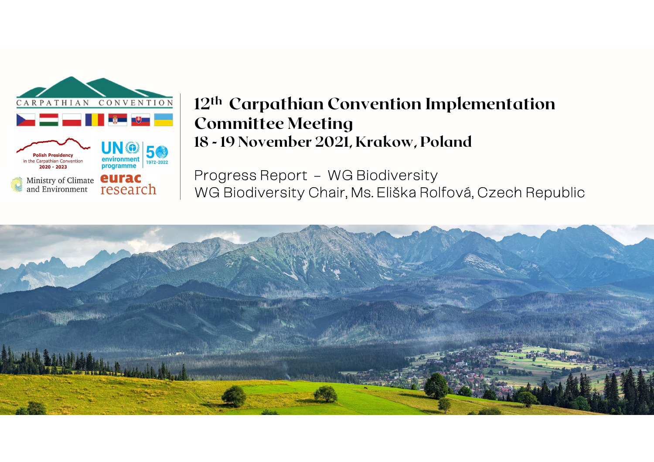

# **12<sup>th</sup> Carpathian Convention Impl<br>Committee Meeting<br>18 - 19 November 2021, Krakow, Polan<br>Progress Report – WG Biodiversity<br>WG Biodiversity Chair, Ms. Eliška Rolfov** 12<sup>th</sup> Carpathian Convention Implementation Committee Meeting 12<sup>th</sup> Carpathian Convention Impler<br>Committee Meeting<br>18 - 19 November 2021, Krakow, Poland

WG Biodiversity Chair, Ms. Eliška Rolfová, Czech Republic

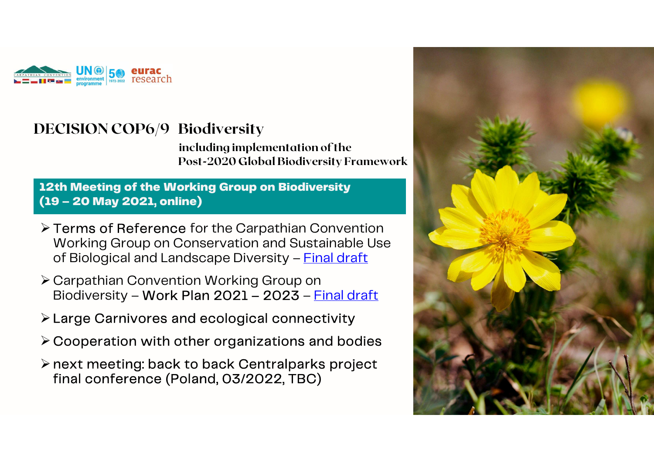

including implementation of the **Biodiversity**<br>
including implementation of the<br>
Post-2020 Global Biodiversity Framework<br>
arking **Crown on Biodiversity** 

12th Meeting of the Working Group on Biodiversity (19 – 20 May 2021, online for the Ca<br>
⇒ Terms of Reference for the Ca<br>
⇒ Terms of Reference for the Ca<br>
⇒ Terms of Reference for the Ca

- Terms of Reference for the Carpathian Convention Post-2020 Global Biodiversity Framework<br> **th Meeting of the Working Group on Biodiversity**<br> **9 – 20 May 2021, online)**<br>
Terms of Reference for the Carpathian Convention<br>
Working Group on Conservation and Sustainable Use<br>
o **th Meeting of the Working Group on Biodiversity**<br> **9 – 20 May 2021, online)**<br>
Terms of Reference for the Carpathian Convention<br>
Working Group on Conservation and Sustainable Use<br>
of Biological and Landscape Diversity – <u>F</u> Terms of Reference for the Carpathian Convention<br>Working Group on Conservation and Sustainable Use<br>of Biological and Landscape Diversity – <u>Final draft</u><br>Carpathian Convention Working Group on<br>Biodiversity – Work Plan 2021
- Carpathian Convention Working Group on<br>Biodiversity **Work Plan 2021 2023** <u>Final draft</u>
- Large Carnivores and ecological connectivity
- $\triangleright$  Cooperation with other organizations and bodies
- → Carpathian Convention Working Group on<br>Biodiversity Work Plan 2021 2023 <u>Final draft</u><br>→ Large Carnivores and ecological connectivity<br>→ Cooperation with other organizations and bodies<br>→ next meeting: back to back C final conference (Poland, 03/2022, TBC)

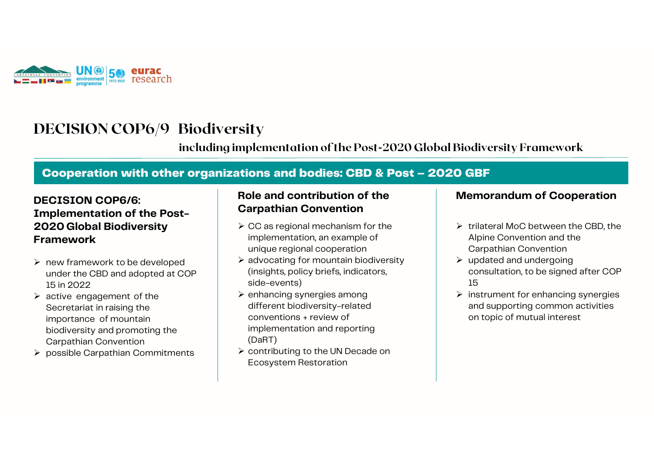

including implementation of the Post-2020 Global Biodiversity Framework

# COOPERION COPS<br>
including implementation of the Post-2020 Global Biodiversity Frame<br>
Cooperation with other organizations and bodies: CBD & Post – 2020 GBF<br>
ECISION COP6/6: Role and contribution of the Memorandum of (

# DECISION COP6/6: DECISION COP6/9 Biodiversity<br>
including implement<br>
Cooperation with other organizations are<br>
DECISION COP6/6:<br>
Implementation of the Post-<br>
2020 Global Biodiversity<br>
Framework<br>
Framework<br>
Framework including<br>
Cooperation with other organize<br>
DECISION COP6/6:<br>
Implementation of the Post-<br>
2020 Global Biodiversity<br>
Framework Framework active engagement of the

- $\triangleright$  new framework to be developed under the CBD and adopted at COP 15 in 2022
- Secretariat in raising the importance of mountain biodiversity and promoting the Carpathian Convention
- possible Carpathian Commitments

#### Role and contribution of the Carpathian Convention

- $\triangleright$  CC as regional mechanism for the implementation, an example of unique regional cooperation
- $\triangleright$  advocating for mountain biodiversity (insights, policy briefs, indicators, side-events)
- $\triangleright$  enhancing synergies among different biodiversity-related conventions + review of implementation and reporting (DaRT)
- ▶ contributing to the UN Decade on Ecosystem Restoration

#### Memorandum of Cooperation

- **O GBF<br>
Memorandum of Cooperation<br>
> trilateral MoC between the CBD, the<br>
Alpine Convention and the<br>
Carpathian Convention** Alpine Convention and the Carpathian Convention
- $\triangleright$  updated and undergoing consultation, to be signed after COP 15
- $\triangleright$  instrument for enhancing synergies and supporting common activities on topic of mutual interest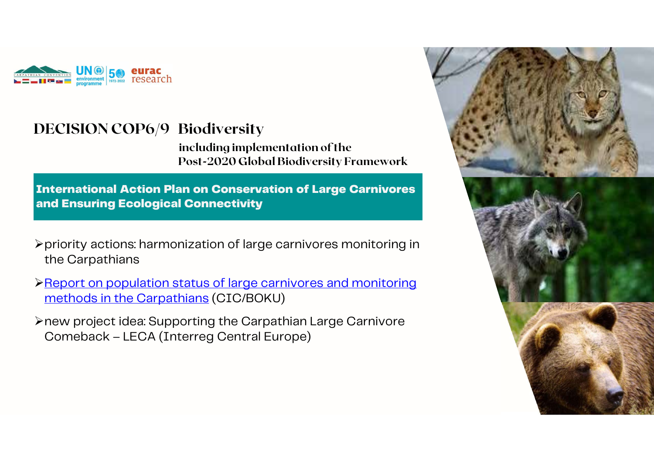

including implementation of the Post-2020 Global Biodiversity Framework

International Action Plan on Conservation of Large Carnivores and Ensuring Ecological Connectivity

- priority actions: harmonization of large carnivores monitoring in the Carpathians → priority actions: harmonization of large carnivores monitoring in<br>the Carpathians<br>→ Report on population status of large carnivores and monitoring<br>methods in the Carpathians (CIC/BOKU)<br>→ new project idea: Supporting the
- Report on population status of large carnivores and monitoring methods in the Carpathians (CIC/BOKU) priority actions. Harmonization of large carrifvores monitor<br>the Carpathians<br>Report on population status of large carnivores and monitor<br>methods in the Carpathians (CIC/BOKU)<br>new project idea: Supporting the Carpathian Lar
- 

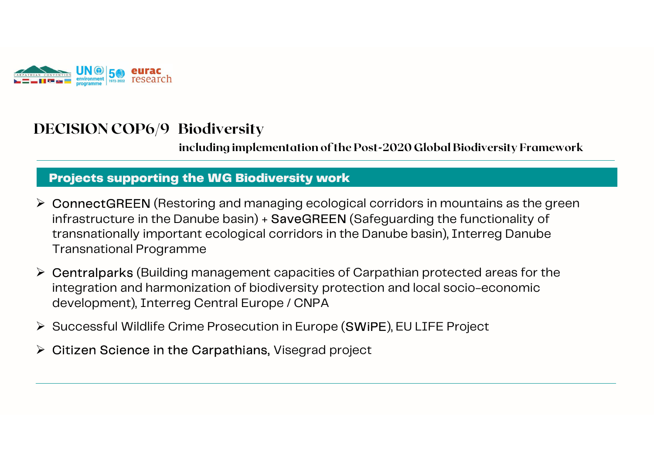

including implementation of the Post-2020 Global Biodiversity Framework

#### Projects supporting the WG Biodiversity work

- ConnectGREEN (Restoring and managing ecological corridors in mountains as the green infrastructure in the Danube basin) + SaveGREEN (Safeguarding the functionality of<br>transnationally important ecological corridors in the Danube basin), Interreg Danube<br>Transnational Programme<br>Centralparks (Building managem including implementation of the Post-2020 Global Biodiversity Framework<br> **Projects supporting the WG Biodiversity work**<br>
ConnectGREEN (Restoring and managing ecological corridors in mountains as the green<br>
infrastructure i Transnational Programme
- Centralparks (Building management capacities of Carpathian protected areas for the integration and harmonization of biodiversity protection and local socio-economic Transnationally important ecological comdors in the Danube Dasiri), Interreg Dant<br>Transnational Programme<br>
> Centralparks (Building management capacities of Carpathian protected areas for<br>
integration and harmonization of <ul>\n<li>▶ Centralparks (Building management capacities of Carpathian prote integration and harmonization of biodiversity protection and local sc development), Interreg Central Europe / CNPA</li>\n<li>▶ Successful Wildlife Crime Prosecution in Europe (SWiPE), EU LIFE P</li>\n<li>▶ Citizen Science in the Carpathians, Visegrad project</li>\n</ul>
- 
-